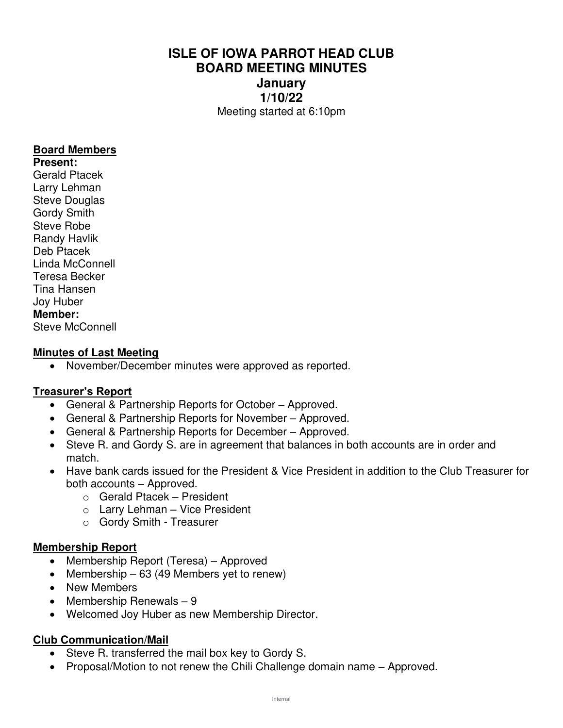# **ISLE OF IOWA PARROT HEAD CLUB BOARD MEETING MINUTES January 1/10/22**  Meeting started at 6:10pm

### **Board Members**

**Present:**  Gerald Ptacek Larry Lehman Steve Douglas Gordy Smith Steve Robe Randy Havlik Deb Ptacek Linda McConnell Teresa Becker Tina Hansen Joy Huber **Member:**  Steve McConnell

### **Minutes of Last Meeting**

• November/December minutes were approved as reported.

## **Treasurer's Report**

- General & Partnership Reports for October Approved.
- General & Partnership Reports for November Approved.
- General & Partnership Reports for December Approved.
- Steve R. and Gordy S. are in agreement that balances in both accounts are in order and match.
- Have bank cards issued for the President & Vice President in addition to the Club Treasurer for both accounts – Approved.
	- o Gerald Ptacek President
	- $\circ$  Larry Lehman Vice President
	- o Gordy Smith Treasurer

#### **Membership Report**

- Membership Report (Teresa) Approved
- Membership 63 (49 Members yet to renew)
- New Members
- Membership Renewals 9
- Welcomed Joy Huber as new Membership Director.

## **Club Communication/Mail**

- Steve R. transferred the mail box key to Gordy S.
- Proposal/Motion to not renew the Chili Challenge domain name Approved.